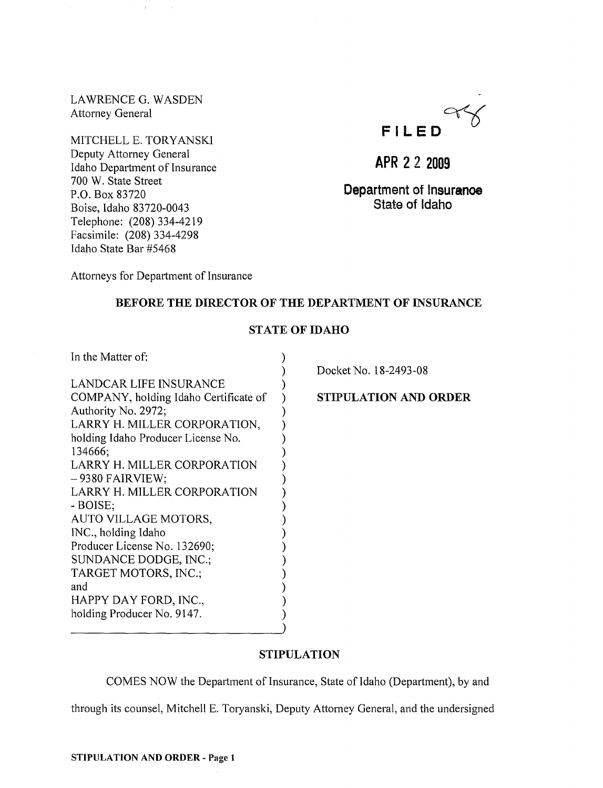LAWRENCE G. WASDEN Attorney General

MITCHELL E. TORYANSKI Deputy Attorney General Idaho Department of Insurance 700 W. State Street P.O. Box 83720 Boise, Idaho 83720-0043 Telephone: (208) 334-4219 Facsimile: (208) 334-4298 Idaho State Bar #5468



**APR 22 2009** 

**Department of Insurance**  State of Idaho

Attorneys for Department of Insurance

# BEFORE THE DIRECTOR OF THE DEPARTMENT OF INSURANCE

## STATE OF IDAHO

)

In the Matter of: (1)

LANDCAR LIFE INSURANCE ) COMPANY, holding Idaho Certificate of ) Authority No. 2972; LARRY H. MILLER CORPORATION, ) holding Idaho Producer License No.  $\qquad \qquad$ ) 134666; ) LARRY H. MILLER CORPORATION ) - 9380 FAIRVIEW; ) LARRY H. MILLER CORPORATION ) - BOISE; ) AUTO VILLAGE MOTORS, INC., holding Idaho (1999) Producer License No. 132690; SUNDANCE DODGE, INC.; TARGET MOTORS, INC.; ) and ) HAPPY DAY FORD, INC., holding Producer No. 9147.

Docket No. 18-2493-08

STIPULATION AND ORDER

## STIPULATION

COMES NOW the Department of Insurance, State of Idaho (Department), by and

through its counsel, Mitchell E. Toryanski, Deputy Attorney General, and the undersigned

)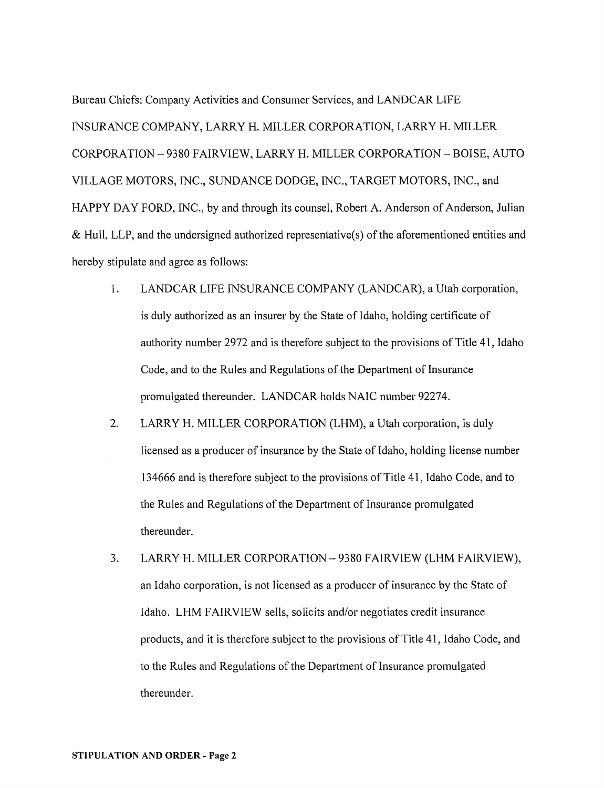Bureau Chiefs: Company Activities and Consumer Services, and LANDCAR LIFE INSURANCE COMPANY, LARRY H. MILLER CORPORATION, LARRY H. MILLER CORPORATION - 9380 FAIRVIEW, LARRY H. MILLER CORPORATION - BOISE, AUTO VILLAGE MOTORS, INC., SUNDANCE DODGE, INC., TARGET MOTORS, INC., and HAPPY DAY FORD, INC., by and through its counsel, Robert A. Anderson of Anderson, Julian & Hull, LLP, and the undersigned authorized representative(s) of the aforementioned entities and hereby stipulate and agree as follows:

- 1. LANDCAR LIFE INSURANCE COMPANY (LANDCAR), a Utah corporation, is duly authorized as an insurer by the State of Idaho, holding certificate of authority number 2972 and is therefore subject to the provisions of Title 41, Idaho Code, and to the Rules and Regulations of the Department of Insurance promulgated thereunder. LANDCAR holds NAIC number 92274.
- 2. LARRY H. MILLER CORPORATION (LHM), a Utah corporation, is duly licensed as a producer of insurance by the State of Idaho, holding license number 134666 and is therefore subject to the provisions of Title 41, Idaho Code, and to the Rules and Regulations of the Department of Insurance promulgated thereunder.
- 3. LARRY H. MILLER CORPORATION 9380 FAIRVIEW (LHM FAIRVIEW), an Idaho corporation, is not licensed as a producer of insurance by the State of Idaho. LHM FAIRVIEW seils, solicits and/or negotiates credit insurance products, and it is therefore subject to the provisions of Title 41, Idaho Code, and to the Rules and Regulations of the Department of Insurance promulgated thereunder.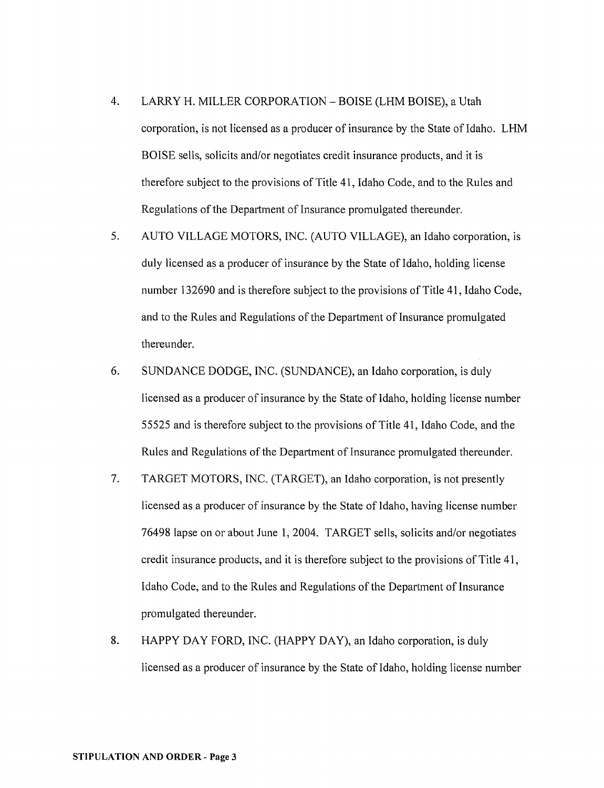- 4. LARRY H. MILLER CORPORATION BOISE (LHM BOISE), a Utah corporation, is not licensed as a producer of insurance by the State of Idaho. LHM BOISE sells, solicits and/or negotiates credit insurance products, and it is therefore subject to the provisions of Title 41, Idaho Code, and to the Rules and Regulations of the Depattment of Insurance promulgated thereunder.
- 5. AUTO VILLAGE MOTORS, INC. (AUTO VILLAGE), an Idaho corporation, is duly licensed as a producer of insurance by the State of Idaho, holding license number 132690 and is therefore subject to the provisions of Title 41, Idaho Code, and to the Rules and Regulations of the Depattment of Insurance promulgated thereunder.
- 6. SUNDANCE DODGE, INC. (SUNDANCE), an Idaho corporation, is duly licensed as a producer of insurance by the State of Idaho, holding license number 55525 and is therefore subject to the provisions of Title 41, Idaho Code, and the Rules and Regulations of the Department of Insurance promulgated thereunder.
- 7. TARGET MOTORS, INC. (TARGET), an Idaho corporation, is not presently licensed as a producer of insurance by the State of Idaho, having license number 76498 lapse on or about June 1, 2004. TARGET sells, solicits and/or negotiates credit insurance products, and it is therefore subject to the provisions of Title 41, Idaho Code, and to the Rules and Regulations of the Department of Insurance promulgated thereunder.
- 8. HAPPY DAY FORD, INC. (HAPPY DAY), an Idaho corporation, is duly licensed as a producer of insurance by the State of Idaho, holding license number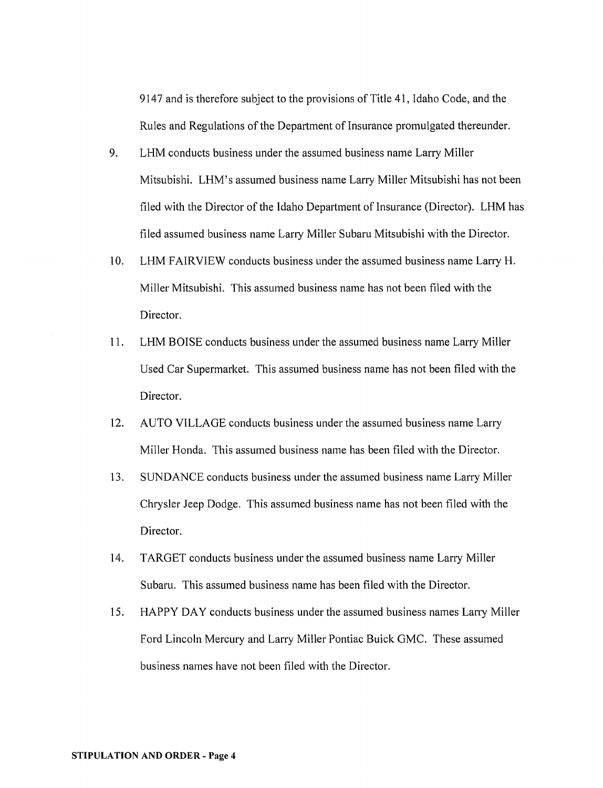9147 and is therefore subject to the provisions of Title 41, Idaho Code, and the Rules and Regulations of the Department of Insurance promulgated thereunder.

- 9. LHM conducts business under the assumed business name Larry Miller Mitsubishi. LHM's assumed business name Larry Miller Mitsubishi has not been filed with the Director of the Idaho Department of Insurance (Director). LHM has filed assumed business name Larry Miller Subaru Mitsubishi with the Director.
- 10. LHM FAIRVIEW conducts business under the assumed business name Larry H. Miller Mitsubishi. This assumed business name has not been filed with the Director.
- 11. LHM BOISE conducts business under the assumed business name Larry Miller Used Car Supermarket. This assumed business name has not been filed with the Director.
- 12. AUTO VILLAGE conducts business under the assumed business name Larry Miller Honda. This assumed business name has been filed with the Director.
- 13. SUNDANCE conducts business under the assumed business name Larry Miller Chrysler Jeep Dodge. This assumed business name has not been filed with the Director.
- 14. TARGET conducts business under the assumed business name Larry Miller Subaru. This assumed business name has been filed with the Director.
- 15. HAPPY DAY conducts business under the assumed business names Larry Miller Ford Lincoln Mercury and Larry Miller Pontiac Buick GMC. These assumed business names have not been filed with the Director.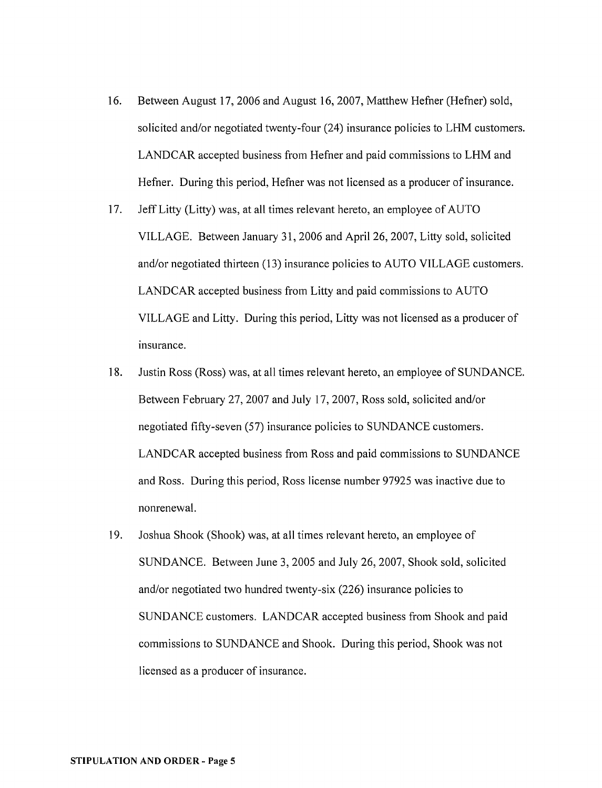- 16. Between August 17,2006 and August 16,2007, Matthew Hefner (Hefner) sold, solicited and/or negotiated twenty-four (24) insurance policies to LHM customers. LANDCAR accepted business from Hefner and paid commissions to LHM and Hefner. During this period, Hefner was not licensed as a producer of insurance.
- 17. Jeff Litty (Litty) was, at all times relevant hereto, an employee of AUTO VILLAGE. Between January 31,2006 and April 26, 2007, Litty sold, solicited and/or negotiated thirteen (13) insurance policies to AUTO VILLAGE customers. LANDCAR accepted business from Litty and paid commissions to AUTO VILLAGE and Litty. During this period, Litty was not licensed as a producer of insurance.
- 18. Justin Ross (Ross) was, at all times relevant hereto, an employee of SUNDANCE. Between February 27, 2007 and July 17,2007, Ross sold, solicited and/or negotiated fifty-seven (57) insurance policies to SUNDANCE customers. LANDCAR accepted business from Ross and paid commissions to SUNDANCE and Ross. During this period, Ross license number 97925 was inactive due to nonrenewal.
- 19. Joshua Shook (Shook) was, at all times relevant hereto, an employee of SUNDANCE. Between June 3, 2005 and July 26, 2007, Shook sold, solicited and/or negotiated two hundred twenty-six (226) insurance policies to SUNDANCE customers. LANDCAR accepted business from Shook and paid commissions to SUNDANCE and Shook. During this period, Shook was not licensed as a producer of insurance.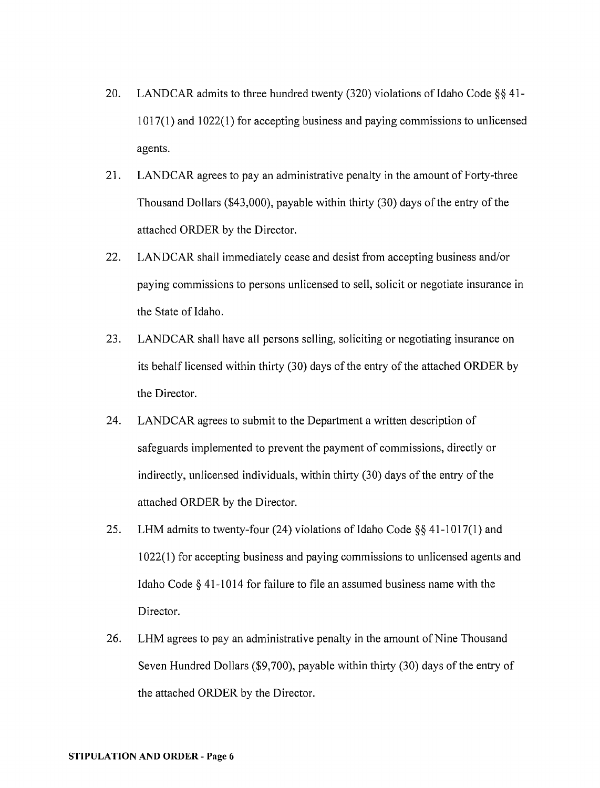- 20. LANDCAR admits to three hundred twenty (320) violations of Idaho Code  $\S$ § 41-1017(1) and 1022(1) for accepting business and paying commissions to unlicensed agents.
- 21. LAND CAR agrees to pay an administrative penalty in the amount of Forty-three Thousand Dollars (\$43,000), payable within thirty (30) days of the entry of the attached ORDER by the Director.
- 22. LANDCAR shall immediately cease and desist from accepting business and/or paying commissions to persons unlicensed to sell, solicit or negotiate insurance in the State of Idaho.
- 23. LANDCAR shall have all persons selling, soliciting or negotiating insurance on its behalf licensed within thirty (30) days of the entry of the attached ORDER by the Director.
- 24. LANDCAR agrees to submit to the Department a written description of safeguards implemented to prevent the payment of commissions, directly or indirectly, unlicensed individuals, within thirty (30) days of the entry of the attached ORDER by the Director.
- 25. LHM admits to twenty-four (24) violations of Idaho Code  $\S$ § 41-1017(1) and 1 022( 1) for accepting business and paying commissions to unlicensed agents and Idaho Code § 41-1014 for failure to file an assumed business name with the Director.
- 26. LHM agrees to pay an administrative penalty in the amount of Nine Thousand Seven Hundred Dollars (\$9,700), payable within thirty (30) days of the entry of the attached ORDER by the Director.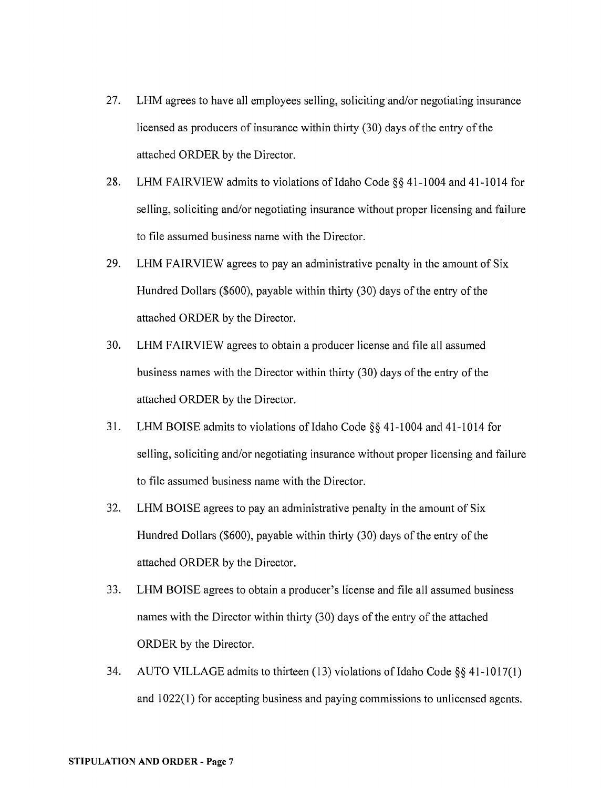- 27. LHM agrees to have all employees selling, soliciting and/or negotiating insurance licensed as producers of insurance within thirty (30) days of the entry of the attached ORDER by the Director.
- 28. LHM FAIRVIEW admits to violations of Idaho Code §§ 41-1004 and 41-1014 for selling, soliciting and/or negotiating insurance without proper licensing and failure to file assumed business name with the Director.
- 29. LHM FAIRVIEW agrees to pay an administrative penalty in the amount of Six Hundred Dollars (\$600), payable within thirty (30) days of the entry of the attached ORDER by the Director.
- 30. LHM FAIRVIEW agrees to obtain a producer license and file all assumed business names with the Director within thirty (30) days of the entry of the attached ORDER by the Director.
- 31. LHM BOISE admits to violations of Idaho Code §§ 41-1004 and 41-1014 for selling, soliciting and/or negotiating insurance without proper licensing and failure to file assumed business name with the Director.
- 32. LHM BOISE agrees to pay an administrative penalty in the amount of Six Hundred Dollars (\$600), payable within thirty (30) days of the entry of the attached ORDER by the Director.
- 33. LHM BOISE agrees to obtain a producer's license and file all assumed business names with the Director within thirty (30) days of the entry of the attached ORDER by the Director.
- 34. AUTO VILLAGE admits to thirteen (13) violations of Idaho Code  $\S$ § 41-1017(1) and 1022(1) for accepting business and paying commissions to unlicensed agents.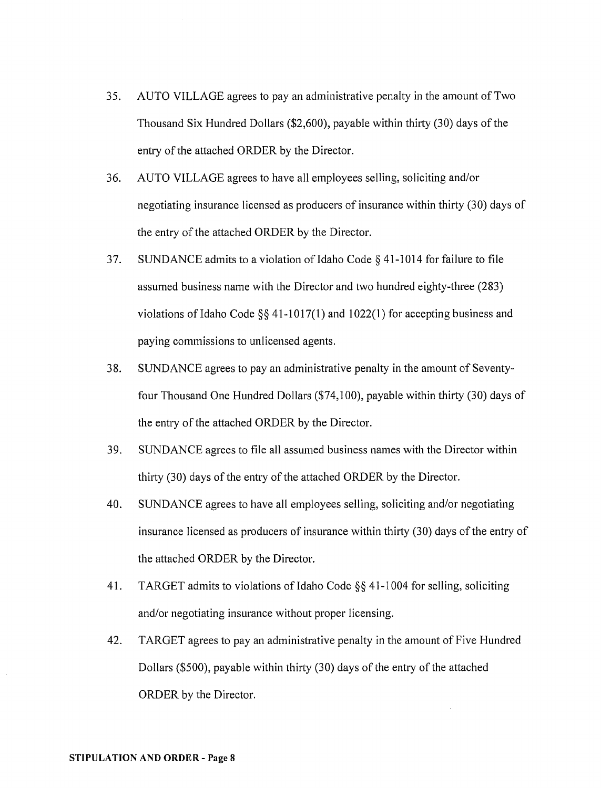- 35. AUTO VILLAGE agrees to pay an administrative penalty in the amount of Two Thousand Six Hundred Dollars (\$2,600), payable within thirty (30) days of the entry of the attached ORDER by the Director.
- 36. AUTO VILLAGE agrees to have all employees selling, soliciting and/or negotiating insurance licensed as producers of insurance within thirty (30) days of the entry of the attached ORDER by the Director.
- 37. SUNDANCE admits to a violation of Idaho Code  $\S$  41-1014 for failure to file assumed business name with the Director and two hundred eighty-three (283) violations of Idaho Code  $\S$ § 41-1017(1) and 1022(1) for accepting business and paying commissions to unlicensed agents.
- 38. SUNDANCE agrees to pay an administrative penalty in the amount of Seventyfour Thousand One Hundred Dollars (\$74,100), payable within thirty (30) days of the entry of the attached ORDER by the Director.
- 39. SUNDANCE agrees to file all assumed business names with the Director within thirty (30) days of the entry of the attached ORDER by the Director.
- 40. SUNDANCE agrees to have all employees selling, soliciting and/or negotiating insurance licensed as producers of insurance within thirty (30) days of the entry of the attached ORDER by the Director.
- 41. TARGET admits to violations of Idaho Code  $\S$ § 41-1004 for selling, soliciting and/or negotiating insurance without proper licensing.
- 42. TARGET agrees to pay an administrative penalty in the amount of Five Hundred Dollars (\$500), payable within thirty (30) days of the entry of the attached ORDER by the Director.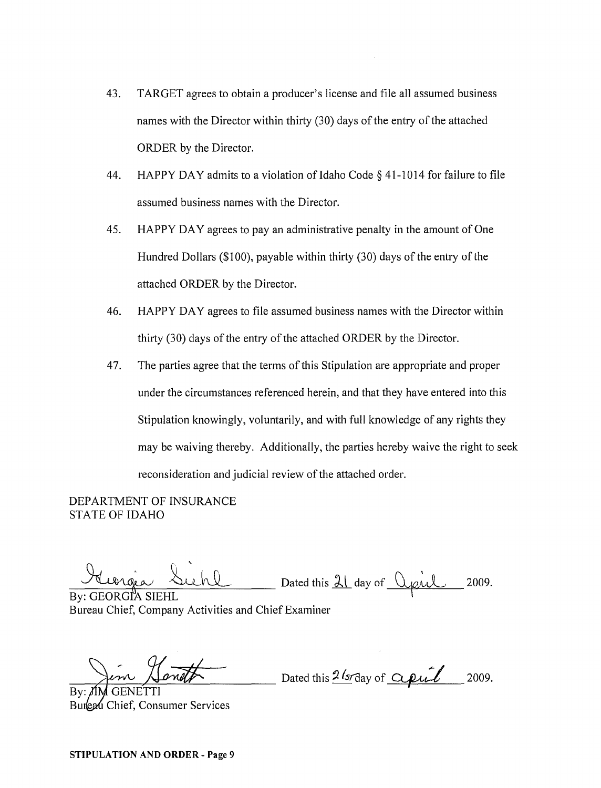- 43. TARGET agrees to obtain a producer's license and file all assumed business names with the Director within thirty (30) days of the entry of the attached ORDER by the Director.
- 44. HAPPY DAY admits to a violation of Idaho Code  $\S$  41-1014 for failure to file assumed business names with the Director.
- 45. HAPPY DAY agrees to pay an administrative penalty in the amount of One Hundred Dollars (\$100), payable within thirty (30) days of the entry of the attached ORDER by the Director.
- 46. HAPPY DAY agrees to file assumed business names with the Director within thirty (30) days of the entry of the attached ORDER by the Director.
- 47. The parties agree that the terms of this Stipulation are appropriate and proper under the circumstances referenced herein, and that they have entered into this Stipulation knowingly, voluntarily, and with full knowledge of any rights they may be waiving thereby. Additionally, the parties hereby waive the right to seek reconsideration and judicial review of the attached order.

DEPARTMENT OF INSURANCE STATE OF IDAHO

Leorgia Suchl Dated this 21 day of Opil 2009.

By: GEORGIA SIEHL Bureau Chief, Company Activities and Chief Examiner

 $\frac{1}{\sqrt{2\pi}}$  Dated this  $\frac{2 \sqrt{5}}{2}$  Dated this 2 (srday of  $\frac{2 \mu l}{\sqrt{5}}$ 2009.

By: Burleau Chief, Consumer Services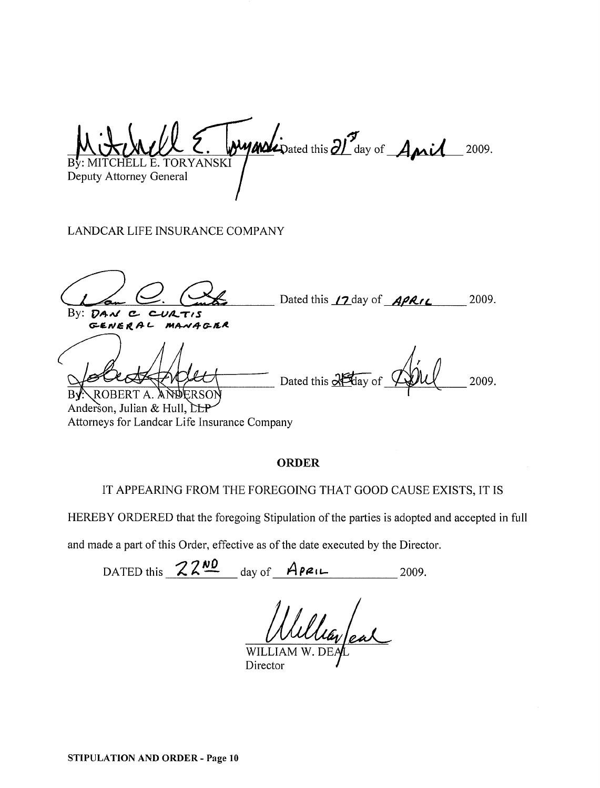MITCHELL E. TORYANSKI Deputy Attorney General wyndipated this 21 day of Anil 2009.

LANDCAR LIFE INSURANCE COMPANY

Dated this  $\angle 2$  day of  $\angle A$  $\angle$ *RIL*  $By:$   $DAV$   $C$   $CVIATIS$ GENERAL MANAGER 2009. HERE THULL Dated this 25 day of TULL 2009. Anderson, Julian & Hull, CLP

Attorneys for Landcar Life Insurance Company

#### **ORDER**

#### IT APPEARING FROM THE FOREGOING THAT GOOD CAUSE EXISTS, IT IS

HEREBY ORDERED that the foregoing Stipulation of the parties is adopted and accepted in full

and made a patt of this Order, effective as of the date executed by the Director.

DATED this  $22^{10}$  day of ApenL 2009.

WILL<sup>1</sup> Director